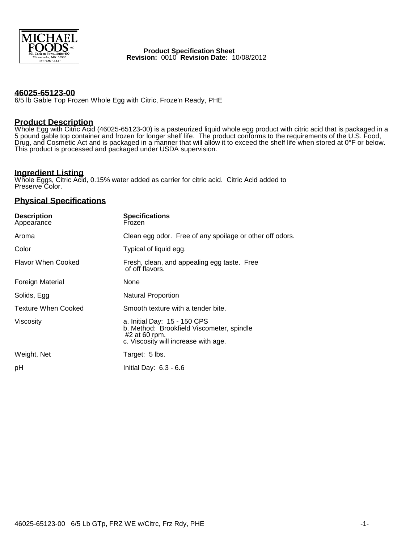

 **Product Specification Sheet Revision:** 0010 **Revision Date:** 10/08/2012

### **46025-65123-00**

6/5 lb Gable Top Frozen Whole Egg with Citric, Froze'n Ready, PHE

# **Product Description**

Whole Egg with Citric Acid (46025-65123-00) is a pasteurized liquid whole egg product with citric acid that is packaged in a 5 pound gable top container and frozen for longer shelf life. The product conforms to the requirements of the U.S. Food, Drug, and Cosmetic Act and is packaged in a manner that will allow it to exceed the shelf life when stored at 0°F or below. This product is processed and packaged under USDA supervision.

# **Ingredient Listing**

Whole Eggs, Citric Acid, 0.15% water added as carrier for citric acid. Citric Acid added to Preserve Color.

## **Physical Specifications**

| <b>Description</b><br>Appearance | <b>Specifications</b><br>Frozen                                                                                                    |  |  |
|----------------------------------|------------------------------------------------------------------------------------------------------------------------------------|--|--|
| Aroma                            | Clean egg odor. Free of any spoilage or other off odors.                                                                           |  |  |
| Color                            | Typical of liquid egg.                                                                                                             |  |  |
| <b>Flavor When Cooked</b>        | Fresh, clean, and appealing egg taste. Free<br>of off flavors.                                                                     |  |  |
| Foreign Material                 | None                                                                                                                               |  |  |
| Solids, Egg                      | Natural Proportion                                                                                                                 |  |  |
| <b>Texture When Cooked</b>       | Smooth texture with a tender bite.                                                                                                 |  |  |
| Viscosity                        | a. Initial Day: 15 - 150 CPS<br>b. Method: Brookfield Viscometer, spindle<br>#2 at 60 rpm.<br>c. Viscosity will increase with age. |  |  |
| Weight, Net                      | Target: 5 lbs.                                                                                                                     |  |  |
| рH                               | Initial Day: 6.3 - 6.6                                                                                                             |  |  |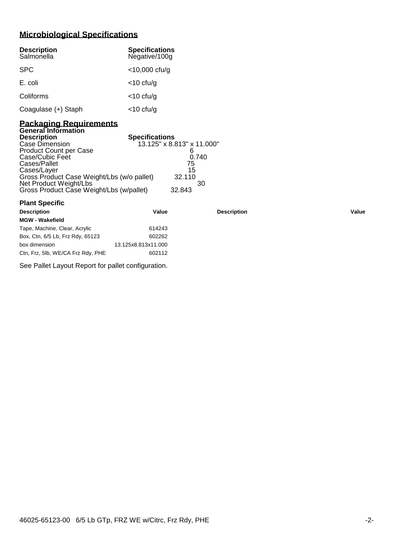# **Microbiological Specifications**

| <b>Description</b><br>Salmonella | <b>Specifications</b><br>Negative/100g |
|----------------------------------|----------------------------------------|
| <b>SPC</b>                       | $<$ 10,000 cfu/g                       |
| E. coli                          | $<$ 10 cfu/g                           |
| Coliforms                        | $<$ 10 cfu/g                           |
| Coagulase (+) Staph              | $<$ 10 cfu/g                           |

#### **Packaging Requirements General Information**

| <b>Description</b>                         | <b>Specifications</b>      |  |
|--------------------------------------------|----------------------------|--|
| Case Dimension                             | 13.125" x 8.813" x 11.000" |  |
| Product Count per Case                     |                            |  |
| Case/Cubic Feet                            | 0.740                      |  |
| Cases/Pallet                               | 75                         |  |
| Cases/Layer                                | 15                         |  |
| Gross Product Case Weight/Lbs (w/o pallet) | 32.110                     |  |
| Net Product Weight/Lbs                     | 30                         |  |
| Gross Product Case Weight/Lbs (w/pallet)   | 32.843                     |  |
|                                            |                            |  |

| <b>Plant Specific</b>             |                     |                    |       |
|-----------------------------------|---------------------|--------------------|-------|
| <b>Description</b>                | Value               | <b>Description</b> | Value |
| <b>MGW - Wakefield</b>            |                     |                    |       |
| Tape, Machine, Clear, Acrylic     | 614243              |                    |       |
| Box, Ctn, 6/5 Lb, Frz Rdy, 65123  | 602262              |                    |       |
| box dimension                     | 13.125x8.813x11.000 |                    |       |
| Ctn, Frz, 5lb, WE/CA Frz Rdy, PHE | 602112              |                    |       |

See Pallet Layout Report for pallet configuration.